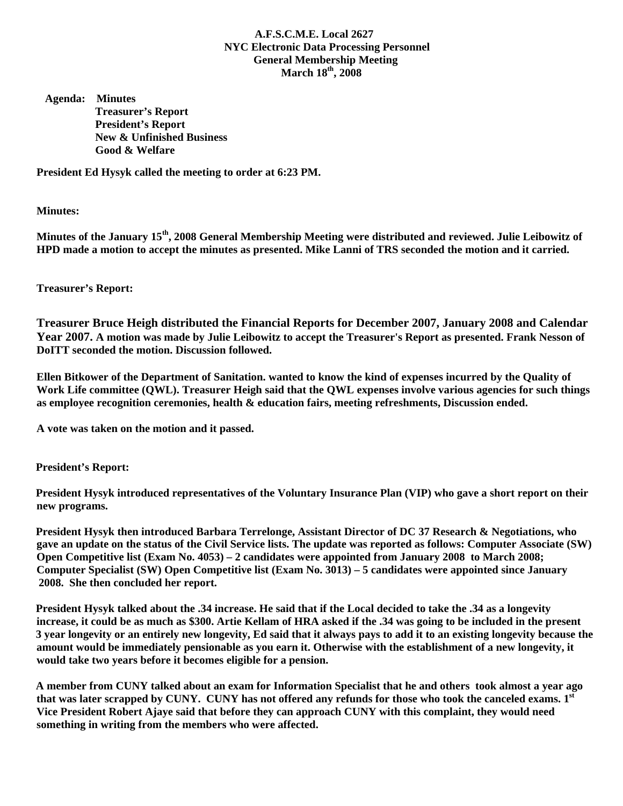## **A.F.S.C.M.E. Local 2627 NYC Electronic Data Processing Personnel General Membership Meeting March 18th, 2008**

 **Agenda: Minutes Treasurer's Report President's Report New & Unfinished Business Good & Welfare** 

**President Ed Hysyk called the meeting to order at 6:23 PM.** 

**Minutes:** 

**Minutes of the January 15th, 2008 General Membership Meeting were distributed and reviewed. Julie Leibowitz of HPD made a motion to accept the minutes as presented. Mike Lanni of TRS seconded the motion and it carried.** 

## **Treasurer's Report:**

**Treasurer Bruce Heigh distributed the Financial Reports for December 2007, January 2008 and Calendar Year 2007. A motion was made by Julie Leibowitz to accept the Treasurer's Report as presented. Frank Nesson of DoITT seconded the motion. Discussion followed.** 

**Ellen Bitkower of the Department of Sanitation. wanted to know the kind of expenses incurred by the Quality of Work Life committee (QWL). Treasurer Heigh said that the QWL expenses involve various agencies for such things as employee recognition ceremonies, health & education fairs, meeting refreshments, Discussion ended.** 

**A vote was taken on the motion and it passed.** 

 **President's Report:** 

 **President Hysyk introduced representatives of the Voluntary Insurance Plan (VIP) who gave a short report on their new programs.** 

 **President Hysyk then introduced Barbara Terrelonge, Assistant Director of DC 37 Research & Negotiations, who gave an update on the status of the Civil Service lists. The update was reported as follows: Computer Associate (SW) Open Competitive list (Exam No. 4053) – 2 candidates were appointed from January 2008 to March 2008; Computer Specialist (SW) Open Competitive list (Exam No. 3013) – 5 candidates were appointed since January 2008. She then concluded her report.** 

 **President Hysyk talked about the .34 increase. He said that if the Local decided to take the .34 as a longevity increase, it could be as much as \$300. Artie Kellam of HRA asked if the .34 was going to be included in the present 3 year longevity or an entirely new longevity, Ed said that it always pays to add it to an existing longevity because the amount would be immediately pensionable as you earn it. Otherwise with the establishment of a new longevity, it would take two years before it becomes eligible for a pension.** 

 **A member from CUNY talked about an exam for Information Specialist that he and others took almost a year ago**  that was later scrapped by CUNY. CUNY has not offered any refunds for those who took the canceled exams. 1<sup>st</sup> **Vice President Robert Ajaye said that before they can approach CUNY with this complaint, they would need something in writing from the members who were affected.**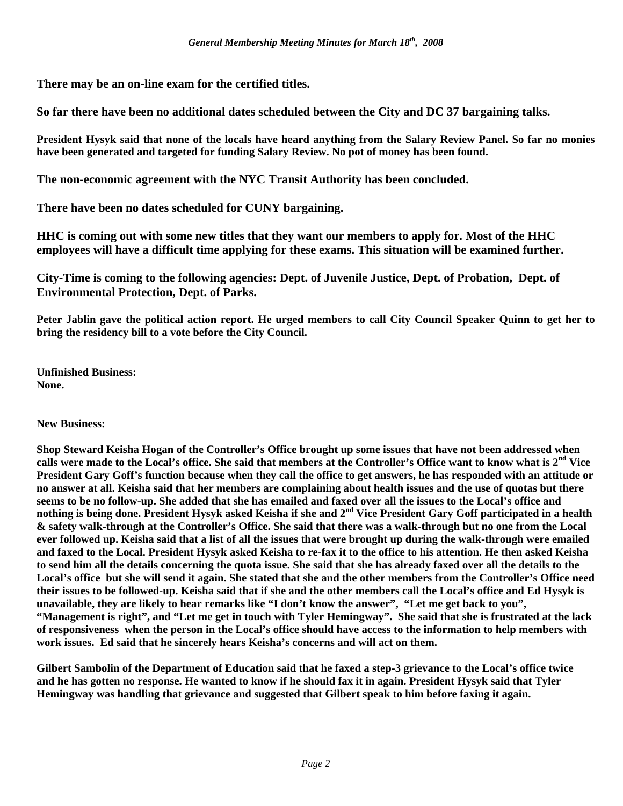**There may be an on-line exam for the certified titles.** 

**So far there have been no additional dates scheduled between the City and DC 37 bargaining talks.** 

**President Hysyk said that none of the locals have heard anything from the Salary Review Panel. So far no monies have been generated and targeted for funding Salary Review. No pot of money has been found.** 

**The non-economic agreement with the NYC Transit Authority has been concluded.** 

**There have been no dates scheduled for CUNY bargaining.** 

**HHC is coming out with some new titles that they want our members to apply for. Most of the HHC employees will have a difficult time applying for these exams. This situation will be examined further.** 

**City-Time is coming to the following agencies: Dept. of Juvenile Justice, Dept. of Probation, Dept. of Environmental Protection, Dept. of Parks.** 

**Peter Jablin gave the political action report. He urged members to call City Council Speaker Quinn to get her to bring the residency bill to a vote before the City Council.** 

**Unfinished Business: None.** 

## **New Business:**

**Shop Steward Keisha Hogan of the Controller's Office brought up some issues that have not been addressed when calls were made to the Local's office. She said that members at the Controller's Office want to know what is 2nd Vice President Gary Goff's function because when they call the office to get answers, he has responded with an attitude or no answer at all. Keisha said that her members are complaining about health issues and the use of quotas but there seems to be no follow-up. She added that she has emailed and faxed over all the issues to the Local's office and**  nothing is being done. President Hysyk asked Keisha if she and 2<sup>nd</sup> Vice President Gary Goff participated in a health **& safety walk-through at the Controller's Office. She said that there was a walk-through but no one from the Local ever followed up. Keisha said that a list of all the issues that were brought up during the walk-through were emailed and faxed to the Local. President Hysyk asked Keisha to re-fax it to the office to his attention. He then asked Keisha to send him all the details concerning the quota issue. She said that she has already faxed over all the details to the Local's office but she will send it again. She stated that she and the other members from the Controller's Office need their issues to be followed-up. Keisha said that if she and the other members call the Local's office and Ed Hysyk is unavailable, they are likely to hear remarks like "I don't know the answer", "Let me get back to you", "Management is right", and "Let me get in touch with Tyler Hemingway". She said that she is frustrated at the lack of responsiveness when the person in the Local's office should have access to the information to help members with work issues. Ed said that he sincerely hears Keisha's concerns and will act on them.** 

**Gilbert Sambolin of the Department of Education said that he faxed a step-3 grievance to the Local's office twice and he has gotten no response. He wanted to know if he should fax it in again. President Hysyk said that Tyler Hemingway was handling that grievance and suggested that Gilbert speak to him before faxing it again.**